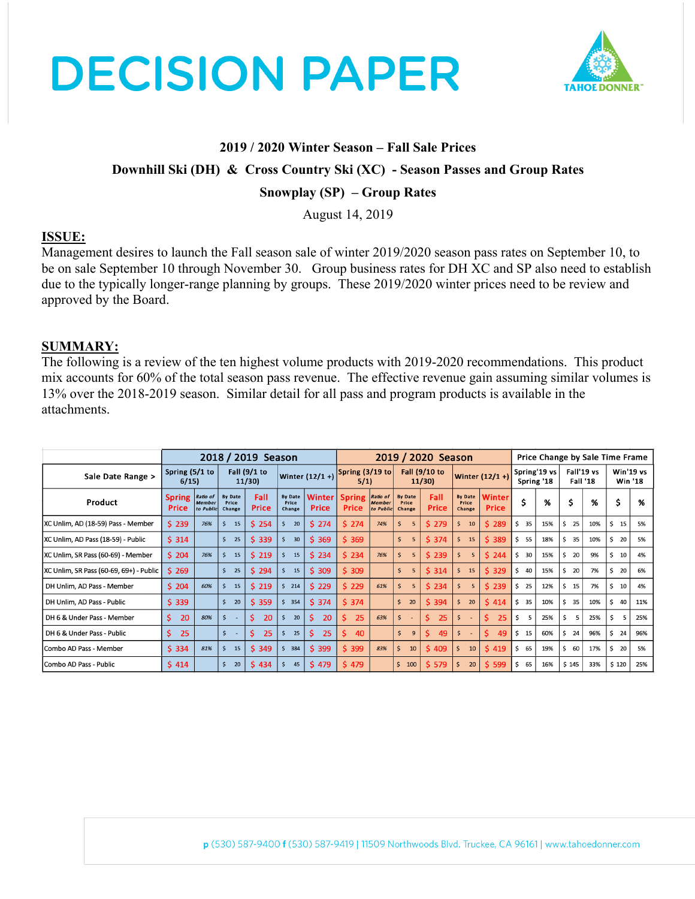



## **2019 / 2020 Winter Season – Fall Sale Prices**

#### **Downhill Ski (DH) & Cross Country Ski (XC) - Season Passes and Group Rates**

### **Snowplay (SP) – Group Rates**

August 14, 2019

#### **ISSUE:**

Management desires to launch the Fall season sale of winter 2019/2020 season pass rates on September 10, to be on sale September 10 through November 30. Group business rates for DH XC and SP also need to establish due to the typically longer-range planning by groups. These 2019/2020 winter prices need to be review and approved by the Board.

### **SUMMARY:**

The following is a review of the ten highest volume products with 2019-2020 recommendations. This product mix accounts for 60% of the total season pass revenue. The effective revenue gain assuming similar volumes is 13% over the 2018-2019 season. Similar detail for all pass and program products is available in the attachments.

|                                         |                        |                                               | 2019 / 2020 Season                |               |                                                |                        |                               |                                        | Price Change by Sale Time Frame   |                      |                                   |                               |                            |     |                               |     |                             |     |
|-----------------------------------------|------------------------|-----------------------------------------------|-----------------------------------|---------------|------------------------------------------------|------------------------|-------------------------------|----------------------------------------|-----------------------------------|----------------------|-----------------------------------|-------------------------------|----------------------------|-----|-------------------------------|-----|-----------------------------|-----|
| Sale Date Range >                       | Spring (5/1 to<br>6/15 |                                               | Fall $(9/1)$<br>11/30             |               | Winter $(12/1 + )$ <sup>Spring</sup> (3/19 to) |                        | 5/1)                          |                                        | Fall (9/10 to<br>11/30            |                      | Winter $(12/1 + )$                |                               | Spring'19 vs<br>Spring '18 |     | Fall'19 vs<br><b>Fall '18</b> |     | Win'19 vs<br><b>Win '18</b> |     |
| Product                                 | <b>Spring</b><br>Price | <b>Ratio of</b><br><b>Member</b><br>to Public | <b>By Date</b><br>Price<br>Change | Fall<br>Price | <b>By Date</b><br>Price<br>Change              | <b>Winter</b><br>Price | <b>Spring</b><br><b>Price</b> | Ratio of<br><b>Member</b><br>to Public | <b>By Date</b><br>Price<br>Change | Fall<br><b>Price</b> | <b>By Date</b><br>Price<br>Change | <b>Winter</b><br><b>Price</b> | \$                         | %   | \$                            | %   | \$                          | %   |
| XC Unlim, AD (18-59) Pass - Member      | \$239                  | 76%                                           | \$<br>15                          | \$254         | \$<br>20                                       | \$274                  | \$274                         | 74%                                    | Š.<br>5                           | \$279                | \$<br>10                          | \$289                         | 35<br>\$                   | 15% | \$<br>25                      | 10% | \$<br>15                    | 5%  |
| XC Unlim, AD Pass (18-59) - Public      | \$314                  |                                               | $\mathsf{\hat{S}}$<br>25          | \$339         | Ś<br>30                                        | \$369                  | \$369                         |                                        | Ś<br>5                            | \$374                | \$<br>15                          | \$389                         | \$<br>55                   | 18% | 35<br>\$                      | 10% | \$<br>20                    | 5%  |
| XC Unlim, SR Pass (60-69) - Member      | \$204                  | 76%                                           | \$<br>15                          | \$219         | \$<br>15                                       | \$234                  | \$234                         | 76%                                    | 5<br>Ś                            | \$239                | \$<br>5                           | \$244                         | \$<br>30                   | 15% | \$<br>20                      | 9%  | \$<br>10                    | 4%  |
| XC Unlim, SR Pass (60-69, 69+) - Public | \$269                  |                                               | \$<br>25                          | \$294         | \$<br>15                                       | \$309                  | \$309                         |                                        | \$.<br>5                          | \$314                | $\mathsf{S}$<br>15                | \$329                         | \$<br>40                   | 15% | \$<br>20                      | 7%  | \$<br>20                    | 6%  |
| DH Unlim, AD Pass - Member              | \$204                  | 60%                                           | \$<br>15                          | \$219         | Ś.<br>214                                      | \$229                  | \$229                         | 61%                                    | 5<br>Ś                            | \$234                | 5<br>5                            | \$239                         | \$<br>25                   | 12% | \$<br>15                      | 7%  | \$<br>10                    | 4%  |
| DH Unlim, AD Pass - Public              | \$339                  |                                               | $\ddot{\mathsf{s}}$<br>20         | \$359         | \$<br>354                                      | \$374                  | \$374                         |                                        | $\mathsf{S}$<br>20                | \$394                | \$<br>20                          | \$414                         | \$<br>35                   | 10% | \$<br>35                      | 10% | \$<br>40                    | 11% |
| DH 6 & Under Pass - Member              | \$.<br>20              | 80%                                           | \$                                | \$.<br>20     | Ŝ<br>20                                        | \$<br>20               | Ś.<br>25                      | 63%                                    | Ŝ                                 | Ś.<br>25             | \$<br>$\sim$                      | \$.<br>25                     | \$<br>5                    | 25% | \$<br>5                       | 25% | \$<br>5                     | 25% |
| DH 6 & Under Pass - Public              | Ŝ.<br>25               |                                               | \$                                | \$.<br>25     | Ś<br>25                                        | Ś.<br>25               | 40<br>S.                      |                                        | \$<br>9                           | Ś.<br>49             | \$<br>$\sim$                      | Ś.<br>49                      | \$<br>15                   | 60% | \$<br>24                      | 96% | \$<br>24                    | 96% |
| Combo AD Pass - Member                  | \$334                  | 81%                                           | 15<br>-\$                         | \$349         | \$<br>384                                      | \$399                  | \$399                         | 83%                                    | Ś<br>10                           | \$409                | Ś.<br>10                          | $S$ 419                       | \$.<br>65                  | 19% | \$<br>60                      | 17% | \$<br>20                    | 5%  |
| Combo AD Pass - Public                  | \$414                  |                                               | $\mathsf{S}$<br>20                | \$434         | 45<br>Ŝ.                                       | \$479                  | \$479                         |                                        | \$<br>100                         | \$579                | Ś.<br>20                          | \$599                         | \$<br>65                   | 16% | \$145                         | 33% | \$120                       | 25% |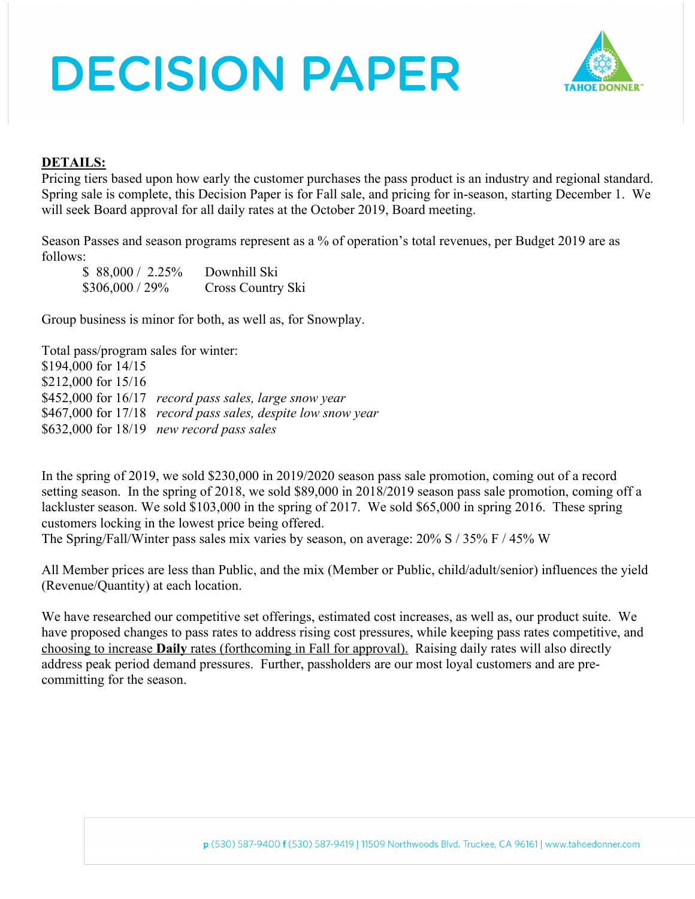# **DECISION PAPER**



### **DETAILS:**

Pricing tiers based upon how early the customer purchases the pass product is an industry and regional standard. Spring sale is complete, this Decision Paper is for Fall sale, and pricing for in-season, starting December 1. We will seek Board approval for all daily rates at the October 2019, Board meeting.

Season Passes and season programs represent as a % of operation's total revenues, per Budget 2019 are as follows:

\$ 88,000 / 2.25% Downhill Ski \$306,000 / 29% Cross Country Ski

Group business is minor for both, as well as, for Snowplay.

Total pass/program sales for winter: \$194,000 for 14/15 \$212,000 for 15/16 \$452,000 for 16/17 *record pass sales, large snow year* \$467,000 for 17/18 *record pass sales, despite low snow year* \$632,000 for 18/19 *new record pass sales*

In the spring of 2019, we sold \$230,000 in 2019/2020 season pass sale promotion, coming out of a record setting season. In the spring of 2018, we sold \$89,000 in 2018/2019 season pass sale promotion, coming off a lackluster season. We sold \$103,000 in the spring of 2017. We sold \$65,000 in spring 2016. These spring customers locking in the lowest price being offered.

The Spring/Fall/Winter pass sales mix varies by season, on average: 20% S / 35% F / 45% W

All Member prices are less than Public, and the mix (Member or Public, child/adult/senior) influences the yield (Revenue/Quantity) at each location.

We have researched our competitive set offerings, estimated cost increases, as well as, our product suite. We have proposed changes to pass rates to address rising cost pressures, while keeping pass rates competitive, and choosing to increase **Daily** rates (forthcoming in Fall for approval). Raising daily rates will also directly address peak period demand pressures. Further, passholders are our most loyal customers and are precommitting for the season.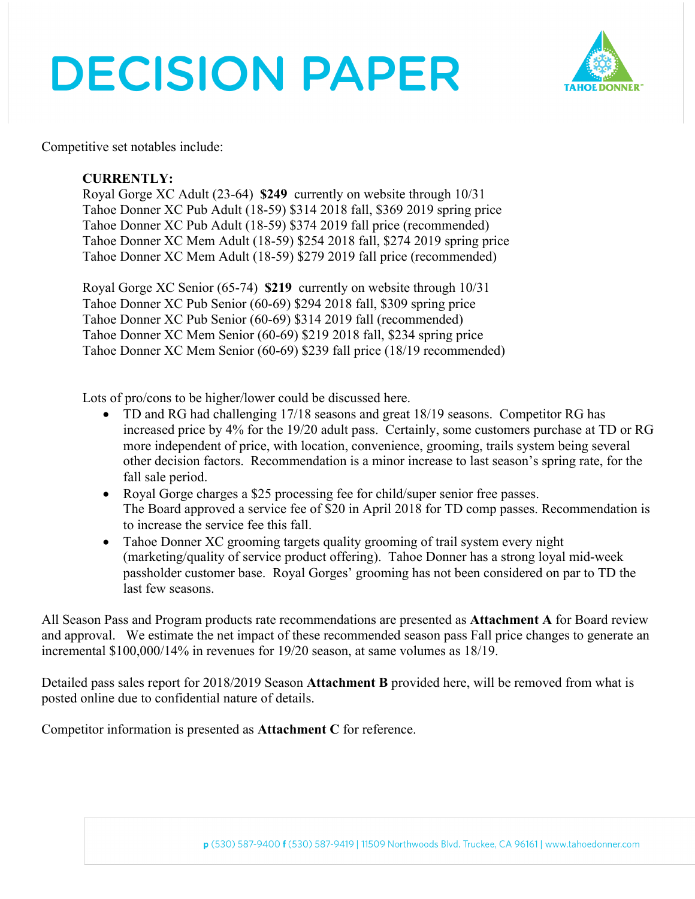# **DECISION PAPER**



Competitive set notables include:

### **CURRENTLY:**

Royal Gorge XC Adult (23-64) **\$249** currently on website through 10/31 Tahoe Donner XC Pub Adult (18-59) \$314 2018 fall, \$369 2019 spring price Tahoe Donner XC Pub Adult (18-59) \$374 2019 fall price (recommended) Tahoe Donner XC Mem Adult (18-59) \$254 2018 fall, \$274 2019 spring price Tahoe Donner XC Mem Adult (18-59) \$279 2019 fall price (recommended)

Royal Gorge XC Senior (65-74) **\$219** currently on website through 10/31 Tahoe Donner XC Pub Senior (60-69) \$294 2018 fall, \$309 spring price Tahoe Donner XC Pub Senior (60-69) \$314 2019 fall (recommended) Tahoe Donner XC Mem Senior (60-69) \$219 2018 fall, \$234 spring price Tahoe Donner XC Mem Senior (60-69) \$239 fall price (18/19 recommended)

Lots of pro/cons to be higher/lower could be discussed here.

- TD and RG had challenging 17/18 seasons and great 18/19 seasons. Competitor RG has increased price by 4% for the 19/20 adult pass. Certainly, some customers purchase at TD or RG more independent of price, with location, convenience, grooming, trails system being several other decision factors. Recommendation is a minor increase to last season's spring rate, for the fall sale period.
- Royal Gorge charges a \$25 processing fee for child/super senior free passes. The Board approved a service fee of \$20 in April 2018 for TD comp passes. Recommendation is to increase the service fee this fall.
- Tahoe Donner XC grooming targets quality grooming of trail system every night (marketing/quality of service product offering). Tahoe Donner has a strong loyal mid-week passholder customer base. Royal Gorges' grooming has not been considered on par to TD the last few seasons.

All Season Pass and Program products rate recommendations are presented as **Attachment A** for Board review and approval. We estimate the net impact of these recommended season pass Fall price changes to generate an incremental \$100,000/14% in revenues for 19/20 season, at same volumes as 18/19.

Detailed pass sales report for 2018/2019 Season **Attachment B** provided here, will be removed from what is posted online due to confidential nature of details.

Competitor information is presented as **Attachment C** for reference.